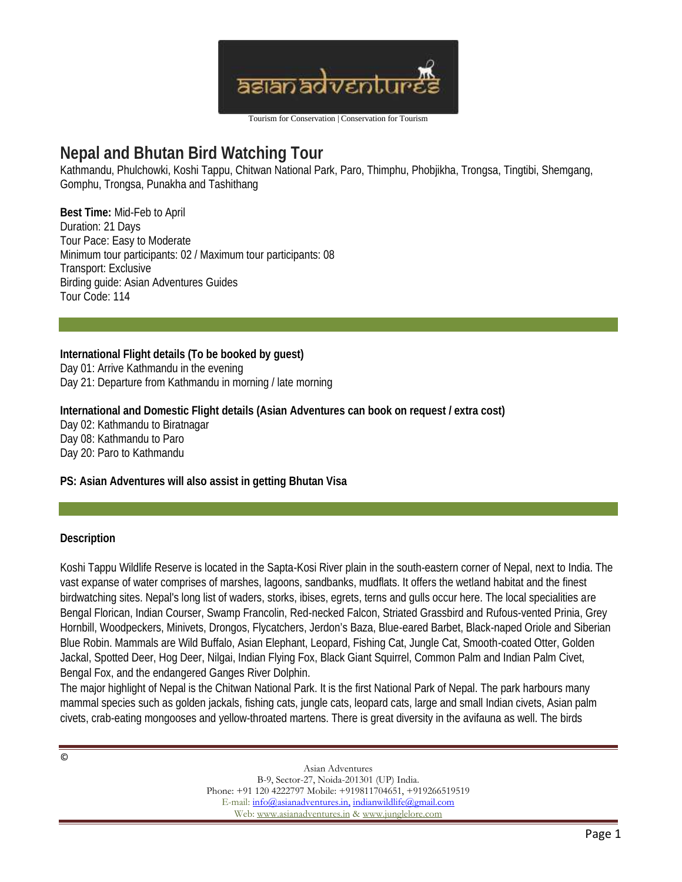

# **Nepal and Bhutan Bird Watching Tour**

Kathmandu, Phulchowki, Koshi Tappu, Chitwan National Park, Paro, Thimphu, Phobjikha, Trongsa, Tingtibi, Shemgang, Gomphu, Trongsa, Punakha and Tashithang

**Best Time:** Mid-Feb to April Duration: 21 Days Tour Pace: Easy to Moderate Minimum tour participants: 02 / Maximum tour participants: 08 Transport: Exclusive Birding guide: Asian Adventures Guides Tour Code: 114

**International Flight details (To be booked by guest)** Day 01: Arrive Kathmandu in the evening Day 21: Departure from Kathmandu in morning / late morning

**International and Domestic Flight details (Asian Adventures can book on request / extra cost)** Day 02: Kathmandu to Biratnagar Day 08: Kathmandu to Paro Day 20: Paro to Kathmandu

**PS: Asian Adventures will also assist in getting Bhutan Visa**

### **Description**

Koshi Tappu Wildlife Reserve is located in the Sapta-Kosi River plain in the south-eastern corner of Nepal, next to India. The vast expanse of water comprises of marshes, lagoons, sandbanks, mudflats. It offers the wetland habitat and the finest birdwatching sites. Nepal's long list of waders, storks, ibises, egrets, terns and gulls occur here. The local specialities are Bengal Florican, Indian Courser, Swamp Francolin, Red-necked Falcon, Striated Grassbird and Rufous-vented Prinia, Grey Hornbill, Woodpeckers, Minivets, Drongos, Flycatchers, Jerdon's Baza, Blue-eared Barbet, Black-naped Oriole and Siberian Blue Robin. Mammals are Wild Buffalo, Asian Elephant, Leopard, Fishing Cat, Jungle Cat, Smooth-coated Otter, Golden Jackal, Spotted Deer, Hog Deer, Nilgai, Indian Flying Fox, Black Giant Squirrel, Common Palm and Indian Palm Civet, Bengal Fox, and the endangered Ganges River Dolphin.

The major highlight of Nepal is the Chitwan National Park. It is the first National Park of Nepal. The park harbours many mammal species such as golden jackals, fishing cats, jungle cats, leopard cats, large and small Indian civets, Asian palm civets, crab-eating mongooses and yellow-throated martens. There is great diversity in the avifauna as well. The birds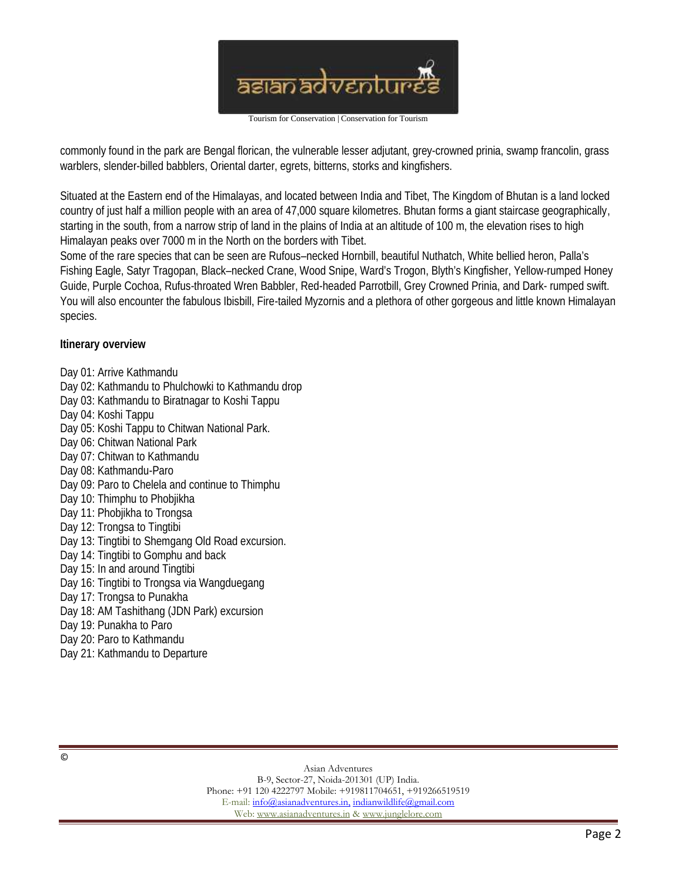

commonly found in the park are Bengal florican, the vulnerable lesser adjutant, grey-crowned prinia, swamp francolin, grass warblers, slender-billed babblers, Oriental darter, egrets, bitterns, storks and kingfishers.

Situated at the Eastern end of the Himalayas, and located between India and Tibet, The Kingdom of Bhutan is a land locked country of just half a million people with an area of 47,000 square kilometres. Bhutan forms a giant staircase geographically, starting in the south, from a narrow strip of land in the plains of India at an altitude of 100 m, the elevation rises to high Himalayan peaks over 7000 m in the North on the borders with Tibet.

Some of the rare species that can be seen are Rufous–necked Hornbill, beautiful Nuthatch, White bellied heron, Palla's Fishing Eagle, Satyr Tragopan, Black–necked Crane, Wood Snipe, Ward's Trogon, Blyth's Kingfisher, Yellow-rumped Honey Guide, Purple Cochoa, Rufus-throated Wren Babbler, Red-headed Parrotbill, Grey Crowned Prinia, and Dark- rumped swift. You will also encounter the fabulous Ibisbill, Fire-tailed Myzornis and a plethora of other gorgeous and little known Himalayan species.

**Itinerary overview**

- Day 01: Arrive Kathmandu
- Day 02: Kathmandu to Phulchowki to Kathmandu drop
- Day 03: Kathmandu to Biratnagar to Koshi Tappu
- Day 04: Koshi Tappu
- Day 05: Koshi Tappu to Chitwan National Park.
- Day 06: Chitwan National Park
- Day 07: Chitwan to Kathmandu
- Day 08: Kathmandu-Paro
- Day 09: Paro to Chelela and continue to Thimphu
- Day 10: Thimphu to Phobjikha
- Day 11: Phobjikha to Trongsa
- Day 12: Trongsa to Tingtibi
- Day 13: Tingtibi to Shemgang Old Road excursion.
- Day 14: Tingtibi to Gomphu and back
- Day 15: In and around Tingtibi
- Day 16: Tingtibi to Trongsa via Wangduegang
- Day 17: Trongsa to Punakha
- Day 18: AM Tashithang (JDN Park) excursion
- Day 19: Punakha to Paro
- Day 20: Paro to Kathmandu
- Day 21: Kathmandu to Departure

Asian Adventures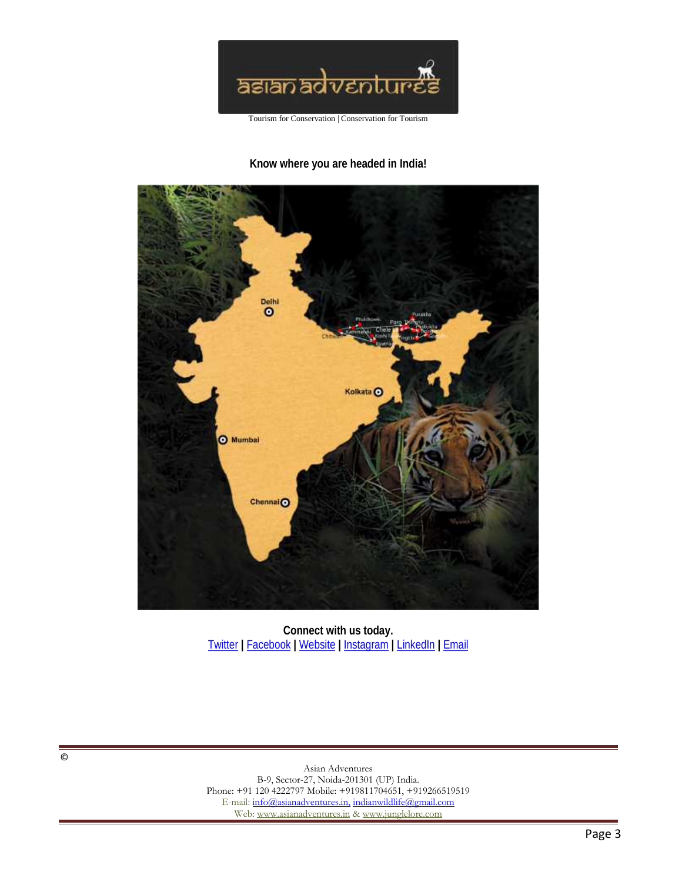

**Know where you are headed in India!**



**Connect with us today.** Twitter **|** Facebook **|** Website **|** Instagram **|** LinkedIn **|** Email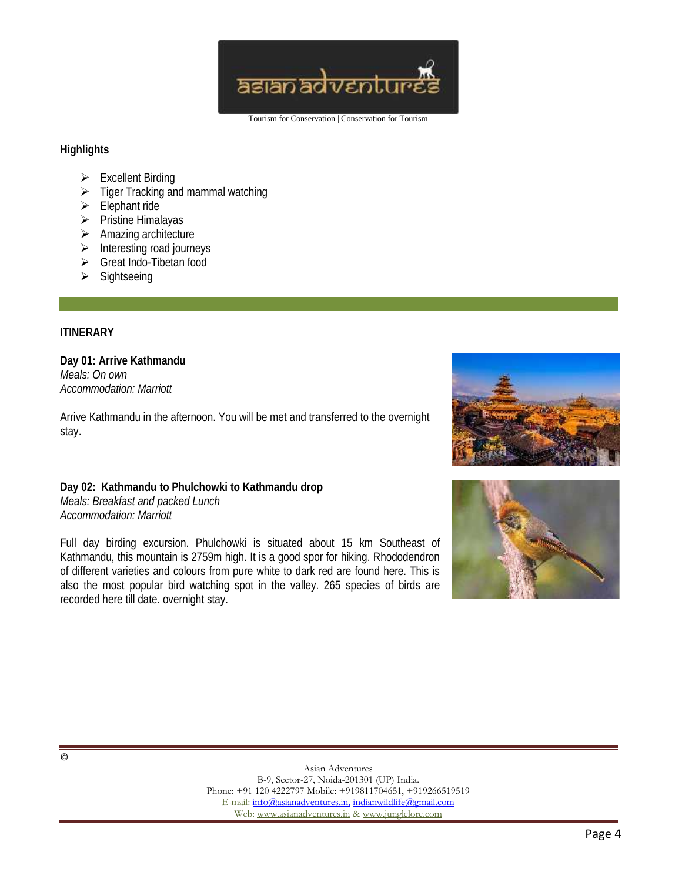

#### **Highlights**

- $\triangleright$  Excellent Birding
- $\triangleright$  Tiger Tracking and mammal watching
- $\triangleright$  Elephant ride
- $\triangleright$  Pristine Himalayas
- $\triangleright$  Amazing architecture
- $\triangleright$  Interesting road journeys
- ▶ Great Indo-Tibetan food
- $\triangleright$  Sightseeing

## **ITINERARY**

**Day 01: Arrive Kathmandu** *Meals: On own Accommodation: Marriott*

Arrive Kathmandu in the afternoon. You will be met and transferred to the overnight stay.

**Day 02: Kathmandu to Phulchowki to Kathmandu drop** *Meals: Breakfast and packed Lunch Accommodation: Marriott*

Full day birding excursion. Phulchowki is situated about 15 km Southeast of Kathmandu, this mountain is 2759m high. It is a good spor for hiking. Rhododendron of different varieties and colours from pure white to dark red are found here. This is also the most popular bird watching spot in the valley. 265 species of birds are recorded here till date. overnight stay.



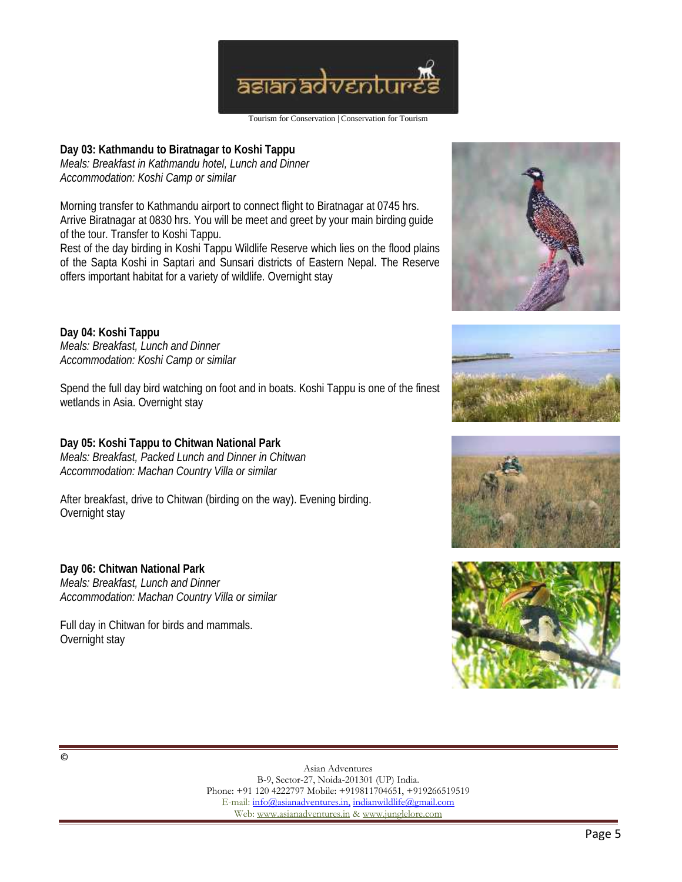

Tourism for Conservation | Conservation for Tourism

**Day 03: Kathmandu to Biratnagar to Koshi Tappu** *Meals: Breakfast in Kathmandu hotel, Lunch and Dinner Accommodation: Koshi Camp or similar*

Morning transfer to Kathmandu airport to connect flight to Biratnagar at 0745 hrs. Arrive Biratnagar at 0830 hrs. You will be meet and greet by your main birding guide of the tour. Transfer to Koshi Tappu. Rest of the day birding in Koshi Tappu Wildlife Reserve which lies on the flood plains of the Sapta Koshi in Saptari and Sunsari districts of Eastern Nepal. The Reserve

offers important habitat for a variety of wildlife. Overnight stay

**Day 04: Koshi Tappu** *Meals: Breakfast, Lunch and Dinner Accommodation: Koshi Camp or similar*

Spend the full day bird watching on foot and in boats. Koshi Tappu is one of the finest wetlands in Asia. Overnight stay

**Day 05: Koshi Tappu to Chitwan National Park** *Meals: Breakfast, Packed Lunch and Dinner in Chitwan Accommodation: Machan Country Villa or similar*

After breakfast, drive to Chitwan (birding on the way). Evening birding. Overnight stay

**Day 06: Chitwan National Park** *Meals: Breakfast, Lunch and Dinner Accommodation: Machan Country Villa or similar*

Full day in Chitwan for birds and mammals. Overnight stay







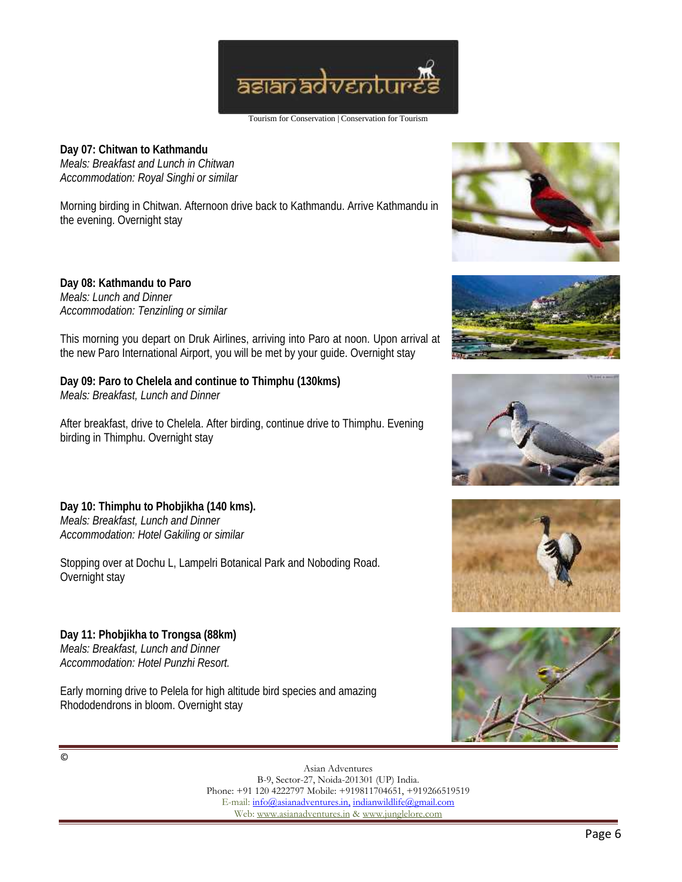

**Day 07: Chitwan to Kathmandu** *Meals: Breakfast and Lunch in Chitwan Accommodation: Royal Singhi or similar*

Morning birding in Chitwan. Afternoon drive back to Kathmandu. Arrive Kathmandu in the evening. Overnight stay

**Day 08: Kathmandu to Paro** *Meals: Lunch and Dinner Accommodation: Tenzinling or similar*

This morning you depart on Druk Airlines, arriving into Paro at noon. Upon arrival at the new Paro International Airport, you will be met by your guide. Overnight stay

**Day 09: Paro to Chelela and continue to Thimphu (130kms)** *Meals: Breakfast, Lunch and Dinner*

After breakfast, drive to Chelela. After birding, continue drive to Thimphu. Evening birding in Thimphu. Overnight stay

**Day 10: Thimphu to Phobjikha (140 kms).** *Meals: Breakfast, Lunch and Dinner Accommodation: Hotel Gakiling or similar*

Stopping over at Dochu L, Lampelri Botanical Park and Noboding Road. Overnight stay

**Day 11: Phobjikha to Trongsa (88km)** *Meals: Breakfast, Lunch and Dinner Accommodation: Hotel Punzhi Resort.*

Early morning drive to Pelela for high altitude bird species and amazing Rhododendrons in bloom. Overnight stay









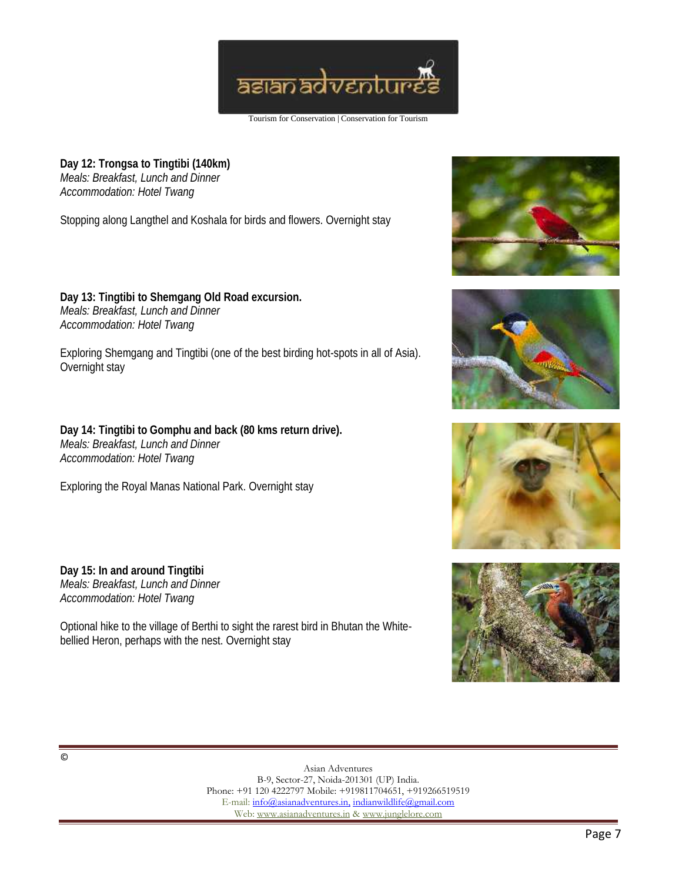

**Day 12: Trongsa to Tingtibi (140km)** *Meals: Breakfast, Lunch and Dinner Accommodation: Hotel Twang*

Stopping along Langthel and Koshala for birds and flowers. Overnight stay

**Day 13: Tingtibi to Shemgang Old Road excursion.** *Meals: Breakfast, Lunch and Dinner Accommodation: Hotel Twang*

Exploring Shemgang and Tingtibi (one of the best birding hot-spots in all of Asia). Overnight stay

**Day 14: Tingtibi to Gomphu and back (80 kms return drive).** *Meals: Breakfast, Lunch and Dinner Accommodation: Hotel Twang*

Exploring the Royal Manas National Park. Overnight stay

**Day 15: In and around Tingtibi** *Meals: Breakfast, Lunch and Dinner Accommodation: Hotel Twang*

Optional hike to the village of Berthi to sight the rarest bird in Bhutan the White bellied Heron, perhaps with the nest. Overnight stay







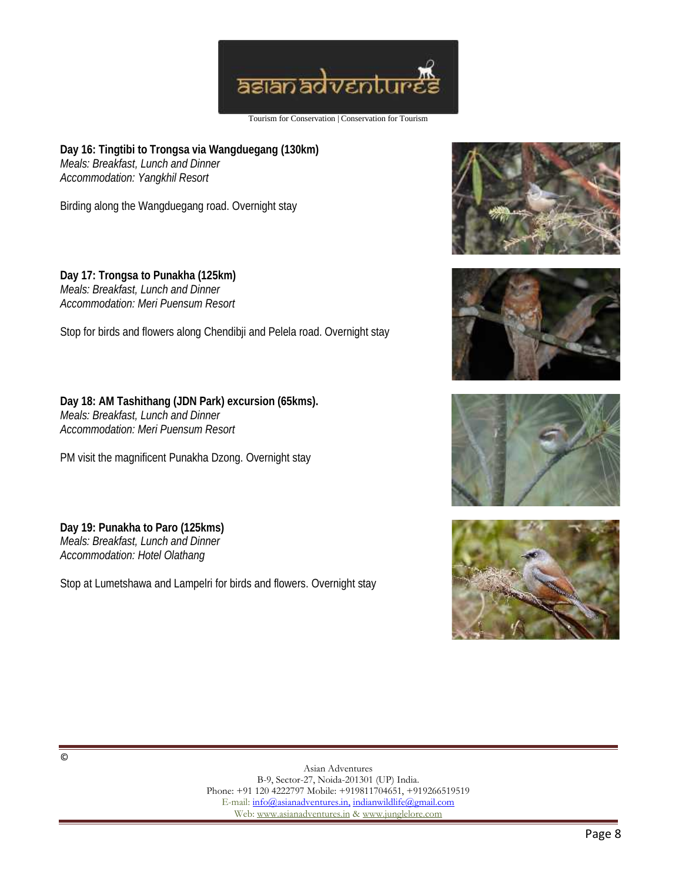

**Day 16: Tingtibi to Trongsa via Wangduegang (130km)** *Meals: Breakfast, Lunch and Dinner Accommodation: Yangkhil Resort*

Birding along the Wangduegang road. Overnight stay

**Day 17: Trongsa to Punakha (125km)** *Meals: Breakfast, Lunch and Dinner Accommodation: Meri Puensum Resort*

Stop for birds and flowers along Chendibji and Pelela road. Overnight stay

**Day 18: AM Tashithang (JDN Park) excursion (65kms).** *Meals: Breakfast, Lunch and Dinner Accommodation: Meri Puensum Resort*

PM visit the magnificent Punakha Dzong. Overnight stay

**Day 19: Punakha to Paro (125kms)** *Meals: Breakfast, Lunch and Dinner Accommodation: Hotel Olathang*

Stop at Lumetshawa and Lampelri for birds and flowers. Overnight stay







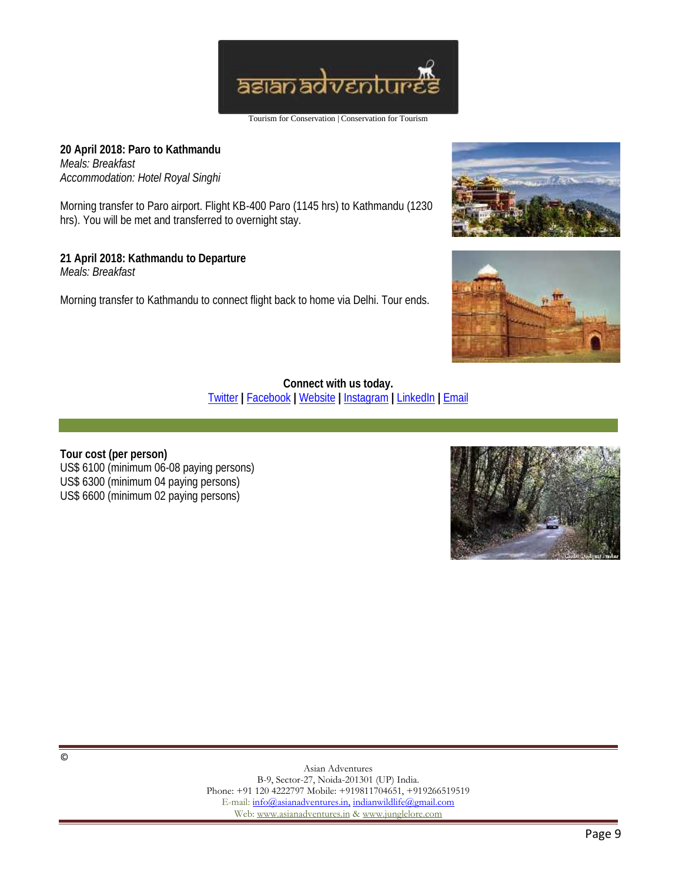

**20 April 2018: Paro to Kathmandu** *Meals: Breakfast Accommodation: Hotel Royal Singhi*

Morning transfer to Paro airport. Flight KB-400 Paro (1145 hrs) to Kathmandu (1230 hrs). You will be met and transferred to overnight stay.

**21 April 2018: Kathmandu to Departure** *Meals: Breakfast*

Morning transfer to Kathmandu to connect flight back to home via Delhi. Tour ends.





**Connect with us today.** Twitter **|** Facebook **|** Website **|** Instagram **|** LinkedIn **|** Email

**Tour cost (per person)** US\$ 6100 (minimum 06-08 paying persons) US\$ 6300 (minimum 04 paying persons) US\$ 6600 (minimum 02 paying persons)